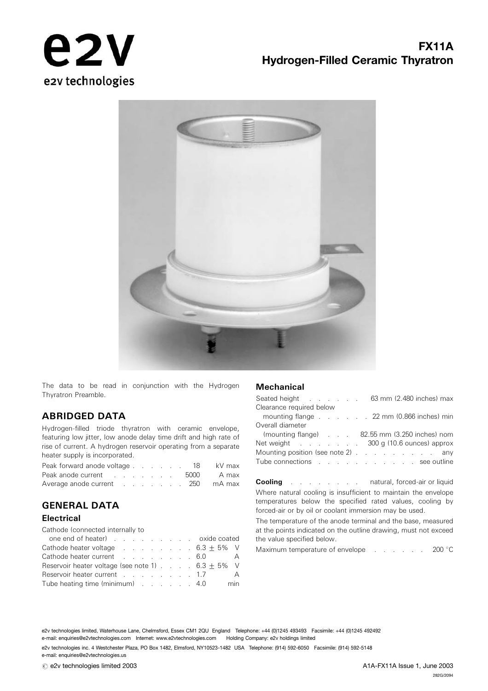



The data to be read in conjunction with the Hydrogen Thyratron Preamble.

## ABRIDGED DATA

Hydrogen-filled triode thyratron with ceramic envelope, featuring low jitter, low anode delay time drift and high rate of rise of current. A hydrogen reservoir operating from a separate heater supply is incorporated.

| Peak forward anode voltage 18            |  |  |  |  | kV max |
|------------------------------------------|--|--|--|--|--------|
| Peak anode current 5000 A max            |  |  |  |  |        |
| Average anode current example 250 mA max |  |  |  |  |        |

## GENERAL DATA

### **Electrical**

Cathode (connected internally to one end of heater) ......... oxide coated

| one end of heater) example and oxide coated                     |  |  |  |  |     |
|-----------------------------------------------------------------|--|--|--|--|-----|
| Cathode heater voltage $\ldots$ 6.3 $\pm$ 5% V                  |  |  |  |  |     |
| Cathode heater current 6.0 A                                    |  |  |  |  |     |
| Reservoir heater voltage (see note 1) $\ldots$ . 6.3 $\pm$ 5% V |  |  |  |  |     |
| Reservoir heater current 1.7                                    |  |  |  |  | A   |
| Tube heating time (minimum) 4.0                                 |  |  |  |  | min |
|                                                                 |  |  |  |  |     |

#### **Mechanical**

| Seated height 63 mm (2.480 inches) max |                                               |
|----------------------------------------|-----------------------------------------------|
| Clearance required below               |                                               |
|                                        | mounting flange 22 mm (0.866 inches) min      |
| Overall diameter                       |                                               |
|                                        | (mounting flange) 82.55 mm (3.250 inches) nom |
| Net weight 300 g (10.6 ounces) approx  |                                               |
| Mounting position (see note 2) any     |                                               |
| Tube connections see outline           |                                               |
|                                        |                                               |

Cooling . . . . . . . . natural, forced-air or liquid Where natural cooling is insufficient to maintain the envelope temperatures below the specified rated values, cooling by forced-air or by oil or coolant immersion may be used.

The temperature of the anode terminal and the base, measured at the points indicated on the outline drawing, must not exceed the value specified below.

Maximum temperature of envelope . . . . . 200 °C

e2v technologies limited, Waterhouse Lane, Chelmsford, Essex CM1 2QU England Telephone: +44 (0)1245 493493 Facsimile: +44 (0)1245 492492 e-mail: enquiries@e2vtechnologies.com Internet: www.e2vtechnologies.com Holding Company: e2v holdings limited

e2v technologies inc. 4 Westchester Plaza, PO Box 1482, Elmsford, NY10523-1482 USA Telephone: (914) 592-6050 Facsimile: (914) 592-5148 e-mail: enquiries@e2vtechnologies.us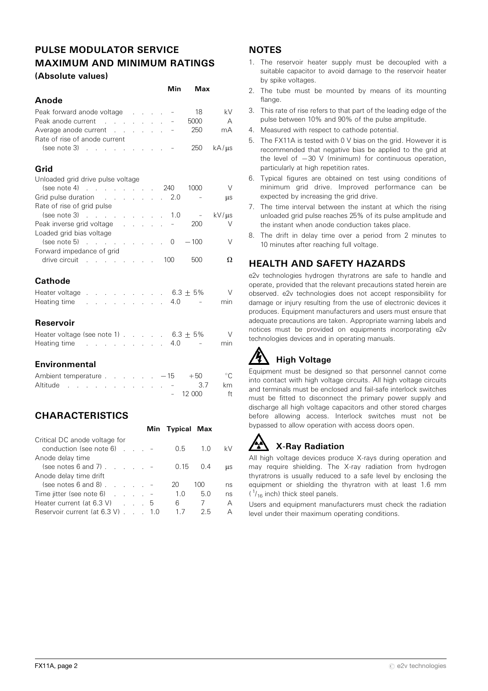## PULSE MODULATOR SERVICE MAXIMUM AND MINIMUM RATINGS (Absolute values)

|                                                                                                                                                                                                                                | Min                      | Max    |              |
|--------------------------------------------------------------------------------------------------------------------------------------------------------------------------------------------------------------------------------|--------------------------|--------|--------------|
| Anode                                                                                                                                                                                                                          |                          |        |              |
| Peak forward anode voltage -                                                                                                                                                                                                   |                          | 18     | kV           |
| Peak anode current                                                                                                                                                                                                             |                          | 5000   | А            |
| Average anode current -                                                                                                                                                                                                        |                          | 250    | mA           |
| Rate of rise of anode current                                                                                                                                                                                                  |                          |        |              |
| $(see note 3)$                                                                                                                                                                                                                 |                          | 250    | $kA/\mu s$   |
| Grid                                                                                                                                                                                                                           |                          |        |              |
| Unloaded grid drive pulse voltage                                                                                                                                                                                              |                          |        |              |
| $(see note 4)$ 240                                                                                                                                                                                                             |                          | 1000   | V            |
| Grid pulse duration and a series and series and series and series and series and series and series and series<br>Rate of rise of grid pulse                                                                                    | 2.0                      | $\sim$ | μs           |
| (see note 3)<br>and the company of the company of                                                                                                                                                                              | 1.0                      | $\sim$ | $kV/\mu s$   |
| Peak inverse grid voltage results and the set of the set of the set of the Peak in the Peak in the S                                                                                                                           | $\overline{\phantom{a}}$ | 200    | V            |
| Loaded grid bias voltage                                                                                                                                                                                                       |                          |        |              |
| (see note 5)<br>. 0                                                                                                                                                                                                            |                          | $-100$ | V            |
| Forward impedance of grid                                                                                                                                                                                                      |                          |        |              |
| drive circuit 100                                                                                                                                                                                                              |                          | 500    | Ω            |
| <b>Cathode</b>                                                                                                                                                                                                                 |                          |        |              |
| Heater voltage<br>. 6.3 $\pm$ 5%                                                                                                                                                                                               |                          |        | V            |
| Heating time<br><b>Service State</b><br>$\mathcal{L}^{\text{max}}$<br>$\mathcal{L}^{\mathcal{L}}$                                                                                                                              | 4.0                      |        | min          |
|                                                                                                                                                                                                                                |                          |        |              |
| Reservoir                                                                                                                                                                                                                      |                          |        |              |
| Heater voltage (see note 1) $\ldots$ . 6.3 $\pm$ 5%                                                                                                                                                                            |                          |        | $\vee$       |
| Heating time research and the set of the set of the set of the set of the set of the set of the set of the set of the set of the set of the set of the set of the set of the set of the set of the set of the set of the set o | 4.0                      |        | min          |
| <b>Environmental</b>                                                                                                                                                                                                           |                          |        |              |
| Ambient temperature $\ldots$ $\ldots$ $-15$ $+50$                                                                                                                                                                              |                          |        | $^{\circ}$ C |
| Altitude<br>the contract of the contract of the contract of                                                                                                                                                                    |                          | 3.7    | km           |
|                                                                                                                                                                                                                                |                          | 12 000 | ft           |
|                                                                                                                                                                                                                                |                          |        |              |
| <b>CHARACTERISTICS</b>                                                                                                                                                                                                         |                          |        |              |

|                                                 |      | Min Typical Max |     |            |
|-------------------------------------------------|------|-----------------|-----|------------|
| Critical DC anode voltage for                   |      |                 |     |            |
| conduction (see note $6$ ) $\qquad \qquad$ -    |      | 0.5             | 1.0 | kV         |
| Anode delay time                                |      |                 |     |            |
| (see notes 6 and 7) $\ldots$ $\ldots$           |      | 0.15            | 0.4 | <b>LLS</b> |
| Anode delay time drift                          |      |                 |     |            |
| (see notes $6$ and $8$ ). $\ldots$              |      | 20              | 100 | ns         |
| Time jitter (see note $6$ ) $\ldots$ $\ldots$ - |      | 1.0             | 5.0 | ns         |
| Heater current (at $6.3 \text{ V}$ ) 5          |      | 6               |     | А          |
| Reservoir current (at 6.3 V).                   | 1 () | 17              | 25  | А          |

## **NOTES**

- 1. The reservoir heater supply must be decoupled with a suitable capacitor to avoid damage to the reservoir heater by spike voltages.
- 2. The tube must be mounted by means of its mounting flange
- 3. This rate of rise refers to that part of the leading edge of the pulse between 10% and 90% of the pulse amplitude.
- 4. Measured with respect to cathode potential.
- 5. The FX11A is tested with 0 V bias on the grid. However it is recommended that negative bias be applied to the grid at the level of  $-30$  V (minimum) for continuous operation, particularly at high repetition rates.
- 6. Typical figures are obtained on test using conditions of minimum grid drive. Improved performance can be expected by increasing the grid drive.
- 7. The time interval between the instant at which the rising unloaded grid pulse reaches 25% of its pulse amplitude and the instant when anode conduction takes place.
- 8. The drift in delay time over a period from 2 minutes to 10 minutes after reaching full voltage.

# HEALTH AND SAFETY HAZARDS

e2v technologies hydrogen thyratrons are safe to handle and operate, provided that the relevant precautions stated herein are observed. e2v technologies does not accept responsibility for damage or injury resulting from the use of electronic devices it produces. Equipment manufacturers and users must ensure that adequate precautions are taken. Appropriate warning labels and notices must be provided on equipments incorporating e2v technologies devices and in operating manuals.

# **High Voltage**

Equipment must be designed so that personnel cannot come into contact with high voltage circuits. All high voltage circuits and terminals must be enclosed and fail-safe interlock switches must be fitted to disconnect the primary power supply and discharge all high voltage capacitors and other stored charges before allowing access. Interlock switches must not be bypassed to allow operation with access doors open.

# X-Ray Radiation

All high voltage devices produce X-rays during operation and may require shielding. The X-ray radiation from hydrogen thyratrons is usually reduced to a safe level by enclosing the equipment or shielding the thyratron with at least 1.6 mm  $(1/16$  inch) thick steel panels.

Users and equipment manufacturers must check the radiation level under their maximum operating conditions.